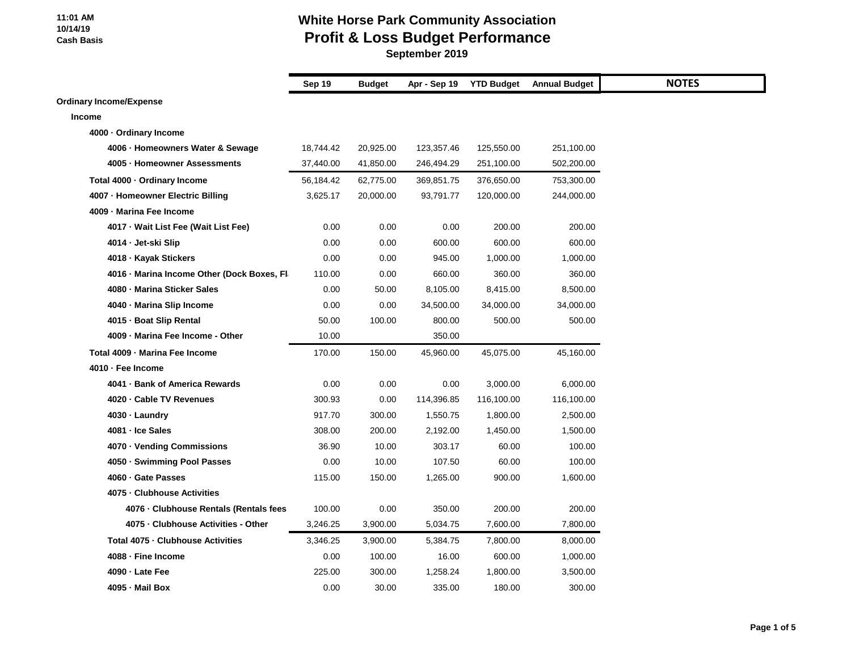### **White Horse Park Community Association Profit & Loss Budget Performance**

|                                             | Sep 19    | <b>Budget</b> | Apr - Sep 19 | <b>YTD Budget</b> | <b>Annual Budget</b> |
|---------------------------------------------|-----------|---------------|--------------|-------------------|----------------------|
| <b>Ordinary Income/Expense</b>              |           |               |              |                   |                      |
| Income                                      |           |               |              |                   |                      |
| 4000 - Ordinary Income                      |           |               |              |                   |                      |
| 4006 · Homeowners Water & Sewage            | 18,744.42 | 20,925.00     | 123,357.46   | 125,550.00        | 251,100.00           |
| 4005 · Homeowner Assessments                | 37,440.00 | 41,850.00     | 246,494.29   | 251,100.00        | 502,200.00           |
| Total 4000 · Ordinary Income                | 56,184.42 | 62,775.00     | 369,851.75   | 376,650.00        | 753,300.00           |
| 4007 - Homeowner Electric Billing           | 3,625.17  | 20,000.00     | 93,791.77    | 120,000.00        | 244,000.00           |
| 4009 - Marina Fee Income                    |           |               |              |                   |                      |
| 4017 · Wait List Fee (Wait List Fee)        | 0.00      | 0.00          | 0.00         | 200.00            | 200.00               |
| 4014 - Jet-ski Slip                         | 0.00      | 0.00          | 600.00       | 600.00            | 600.00               |
| 4018 · Kayak Stickers                       | 0.00      | 0.00          | 945.00       | 1,000.00          | 1,000.00             |
| 4016 - Marina Income Other (Dock Boxes, Fl. | 110.00    | 0.00          | 660.00       | 360.00            | 360.00               |
| 4080 - Marina Sticker Sales                 | 0.00      | 50.00         | 8,105.00     | 8,415.00          | 8,500.00             |
| 4040 - Marina Slip Income                   | 0.00      | 0.00          | 34,500.00    | 34,000.00         | 34,000.00            |
| 4015 - Boat Slip Rental                     | 50.00     | 100.00        | 800.00       | 500.00            | 500.00               |
| 4009 - Marina Fee Income - Other            | 10.00     |               | 350.00       |                   |                      |
| Total 4009 - Marina Fee Income              | 170.00    | 150.00        | 45,960.00    | 45,075.00         | 45,160.00            |
| 4010 - Fee Income                           |           |               |              |                   |                      |
| 4041 - Bank of America Rewards              | 0.00      | 0.00          | 0.00         | 3,000.00          | 6,000.00             |
| 4020 - Cable TV Revenues                    | 300.93    | 0.00          | 114,396.85   | 116,100.00        | 116,100.00           |
| 4030 - Laundry                              | 917.70    | 300.00        | 1,550.75     | 1,800.00          | 2,500.00             |
| 4081 - Ice Sales                            | 308.00    | 200.00        | 2,192.00     | 1,450.00          | 1,500.00             |
| 4070 · Vending Commissions                  | 36.90     | 10.00         | 303.17       | 60.00             | 100.00               |
| 4050 · Swimming Pool Passes                 | 0.00      | 10.00         | 107.50       | 60.00             | 100.00               |
| 4060 · Gate Passes                          | 115.00    | 150.00        | 1,265.00     | 900.00            | 1,600.00             |
| 4075 - Clubhouse Activities                 |           |               |              |                   |                      |
| 4076 · Clubhouse Rentals (Rentals fees      | 100.00    | 0.00          | 350.00       | 200.00            | 200.00               |
| 4075 - Clubhouse Activities - Other         | 3,246.25  | 3,900.00      | 5,034.75     | 7,600.00          | 7,800.00             |
| Total 4075 - Clubhouse Activities           | 3,346.25  | 3,900.00      | 5,384.75     | 7,800.00          | 8,000.00             |
| 4088 - Fine Income                          | 0.00      | 100.00        | 16.00        | 600.00            | 1,000.00             |
| 4090 · Late Fee                             | 225.00    | 300.00        | 1,258.24     | 1,800.00          | 3,500.00             |
| 4095 - Mail Box                             | 0.00      | 30.00         | 335.00       | 180.00            | 300.00               |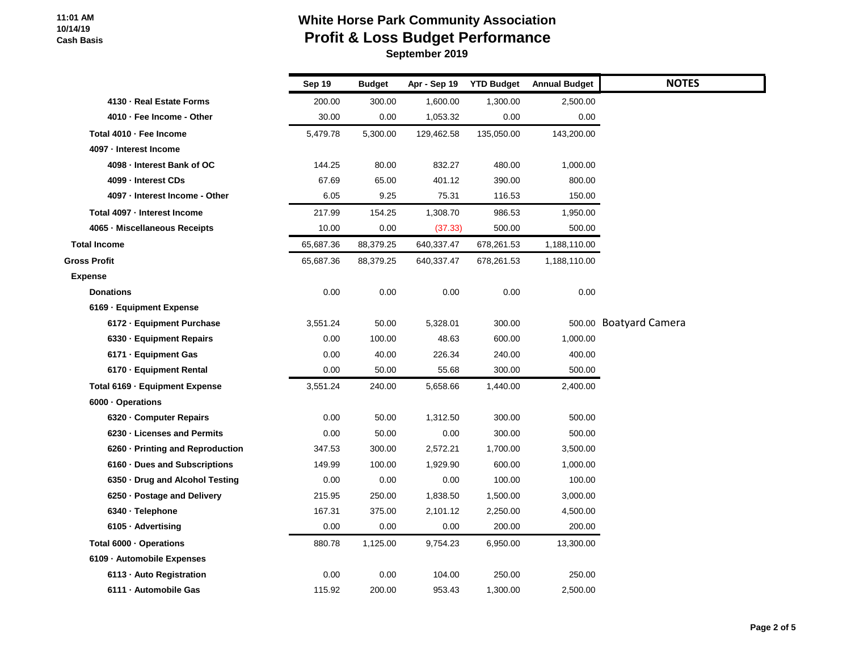# **White Horse Park Community Association Profit & Loss Budget Performance**

|                                  | <b>Sep 19</b> | <b>Budget</b> | Apr - Sep 19 | <b>YTD Budget</b> | <b>Annual Budget</b> | <b>NOTES</b>           |
|----------------------------------|---------------|---------------|--------------|-------------------|----------------------|------------------------|
| 4130 - Real Estate Forms         | 200.00        | 300.00        | 1,600.00     | 1,300.00          | 2,500.00             |                        |
| 4010 - Fee Income - Other        | 30.00         | 0.00          | 1,053.32     | 0.00              | 0.00                 |                        |
| Total 4010 - Fee Income          | 5,479.78      | 5,300.00      | 129,462.58   | 135,050.00        | 143,200.00           |                        |
| 4097 - Interest Income           |               |               |              |                   |                      |                        |
| 4098 - Interest Bank of OC       | 144.25        | 80.00         | 832.27       | 480.00            | 1,000.00             |                        |
| 4099 - Interest CDs              | 67.69         | 65.00         | 401.12       | 390.00            | 800.00               |                        |
| 4097 - Interest Income - Other   | 6.05          | 9.25          | 75.31        | 116.53            | 150.00               |                        |
| Total 4097 - Interest Income     | 217.99        | 154.25        | 1,308.70     | 986.53            | 1,950.00             |                        |
| 4065 - Miscellaneous Receipts    | 10.00         | 0.00          | (37.33)      | 500.00            | 500.00               |                        |
| <b>Total Income</b>              | 65,687.36     | 88,379.25     | 640,337.47   | 678,261.53        | 1,188,110.00         |                        |
| <b>Gross Profit</b>              | 65,687.36     | 88,379.25     | 640,337.47   | 678,261.53        | 1,188,110.00         |                        |
| <b>Expense</b>                   |               |               |              |                   |                      |                        |
| <b>Donations</b>                 | 0.00          | 0.00          | 0.00         | 0.00              | 0.00                 |                        |
| 6169 - Equipment Expense         |               |               |              |                   |                      |                        |
| 6172 - Equipment Purchase        | 3,551.24      | 50.00         | 5,328.01     | 300.00            |                      | 500.00 Boatyard Camera |
| 6330 · Equipment Repairs         | 0.00          | 100.00        | 48.63        | 600.00            | 1,000.00             |                        |
| 6171 - Equipment Gas             | 0.00          | 40.00         | 226.34       | 240.00            | 400.00               |                        |
| 6170 · Equipment Rental          | 0.00          | 50.00         | 55.68        | 300.00            | 500.00               |                        |
| Total 6169 - Equipment Expense   | 3,551.24      | 240.00        | 5,658.66     | 1,440.00          | 2,400.00             |                        |
| 6000 · Operations                |               |               |              |                   |                      |                        |
| 6320 - Computer Repairs          | 0.00          | 50.00         | 1,312.50     | 300.00            | 500.00               |                        |
| 6230 - Licenses and Permits      | 0.00          | 50.00         | 0.00         | 300.00            | 500.00               |                        |
| 6260 - Printing and Reproduction | 347.53        | 300.00        | 2,572.21     | 1,700.00          | 3,500.00             |                        |
| 6160 Dues and Subscriptions      | 149.99        | 100.00        | 1,929.90     | 600.00            | 1,000.00             |                        |
| 6350 Drug and Alcohol Testing    | 0.00          | 0.00          | 0.00         | 100.00            | 100.00               |                        |
| 6250 · Postage and Delivery      | 215.95        | 250.00        | 1,838.50     | 1,500.00          | 3,000.00             |                        |
| 6340 · Telephone                 | 167.31        | 375.00        | 2,101.12     | 2,250.00          | 4,500.00             |                        |
| 6105 · Advertising               | 0.00          | 0.00          | 0.00         | 200.00            | 200.00               |                        |
| Total 6000 · Operations          | 880.78        | 1,125.00      | 9,754.23     | 6,950.00          | 13,300.00            |                        |
| 6109 - Automobile Expenses       |               |               |              |                   |                      |                        |
| 6113 - Auto Registration         | 0.00          | 0.00          | 104.00       | 250.00            | 250.00               |                        |
| 6111 - Automobile Gas            | 115.92        | 200.00        | 953.43       | 1,300.00          | 2,500.00             |                        |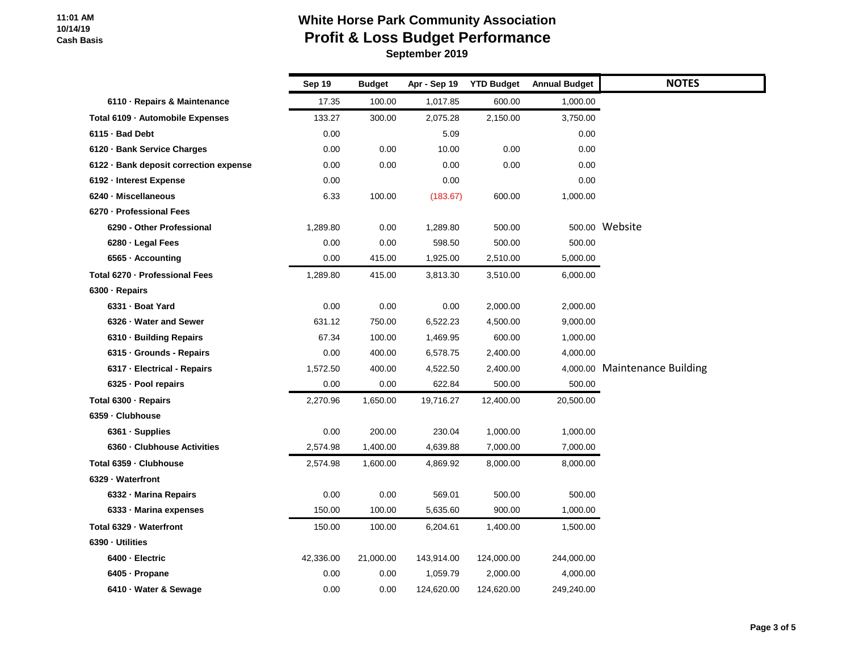# **White Horse Park Community Association Profit & Loss Budget Performance**

|                                        | Sep 19    | <b>Budget</b> | Apr - Sep 19 | <b>YTD Budget</b> | <b>Annual Budget</b> | <b>NOTES</b>                  |
|----------------------------------------|-----------|---------------|--------------|-------------------|----------------------|-------------------------------|
| 6110 - Repairs & Maintenance           | 17.35     | 100.00        | 1,017.85     | 600.00            | 1,000.00             |                               |
| Total 6109 · Automobile Expenses       | 133.27    | 300.00        | 2,075.28     | 2,150.00          | 3,750.00             |                               |
| 6115 - Bad Debt                        | 0.00      |               | 5.09         |                   | 0.00                 |                               |
| 6120 · Bank Service Charges            | 0.00      | 0.00          | 10.00        | 0.00              | 0.00                 |                               |
| 6122 · Bank deposit correction expense | 0.00      | 0.00          | 0.00         | 0.00              | 0.00                 |                               |
| 6192 - Interest Expense                | 0.00      |               | 0.00         |                   | 0.00                 |                               |
| 6240 - Miscellaneous                   | 6.33      | 100.00        | (183.67)     | 600.00            | 1,000.00             |                               |
| 6270 - Professional Fees               |           |               |              |                   |                      |                               |
| 6290 - Other Professional              | 1,289.80  | 0.00          | 1,289.80     | 500.00            |                      | 500.00 Website                |
| 6280 · Legal Fees                      | 0.00      | 0.00          | 598.50       | 500.00            | 500.00               |                               |
| 6565 · Accounting                      | 0.00      | 415.00        | 1,925.00     | 2,510.00          | 5,000.00             |                               |
| Total 6270 - Professional Fees         | 1,289.80  | 415.00        | 3,813.30     | 3,510.00          | 6,000.00             |                               |
| 6300 · Repairs                         |           |               |              |                   |                      |                               |
| 6331 - Boat Yard                       | 0.00      | 0.00          | 0.00         | 2,000.00          | 2,000.00             |                               |
| 6326 - Water and Sewer                 | 631.12    | 750.00        | 6,522.23     | 4,500.00          | 9,000.00             |                               |
| 6310 · Building Repairs                | 67.34     | 100.00        | 1,469.95     | 600.00            | 1,000.00             |                               |
| 6315 - Grounds - Repairs               | 0.00      | 400.00        | 6,578.75     | 2,400.00          | 4,000.00             |                               |
| 6317 - Electrical - Repairs            | 1,572.50  | 400.00        | 4,522.50     | 2,400.00          |                      | 4,000.00 Maintenance Building |
| 6325 - Pool repairs                    | 0.00      | 0.00          | 622.84       | 500.00            | 500.00               |                               |
| Total 6300 - Repairs                   | 2,270.96  | 1,650.00      | 19,716.27    | 12,400.00         | 20,500.00            |                               |
| 6359 - Clubhouse                       |           |               |              |                   |                      |                               |
| 6361 · Supplies                        | 0.00      | 200.00        | 230.04       | 1,000.00          | 1,000.00             |                               |
| 6360 - Clubhouse Activities            | 2,574.98  | 1,400.00      | 4,639.88     | 7,000.00          | 7,000.00             |                               |
| Total 6359 - Clubhouse                 | 2,574.98  | 1,600.00      | 4,869.92     | 8,000.00          | 8,000.00             |                               |
| 6329 - Waterfront                      |           |               |              |                   |                      |                               |
| 6332 - Marina Repairs                  | 0.00      | 0.00          | 569.01       | 500.00            | 500.00               |                               |
| 6333 - Marina expenses                 | 150.00    | 100.00        | 5,635.60     | 900.00            | 1,000.00             |                               |
| Total 6329 - Waterfront                | 150.00    | 100.00        | 6,204.61     | 1,400.00          | 1,500.00             |                               |
| 6390 - Utilities                       |           |               |              |                   |                      |                               |
| 6400 - Electric                        | 42,336.00 | 21,000.00     | 143,914.00   | 124,000.00        | 244,000.00           |                               |
| 6405 - Propane                         | 0.00      | 0.00          | 1,059.79     | 2,000.00          | 4,000.00             |                               |
| 6410 · Water & Sewage                  | 0.00      | 0.00          | 124,620.00   | 124,620.00        | 249,240.00           |                               |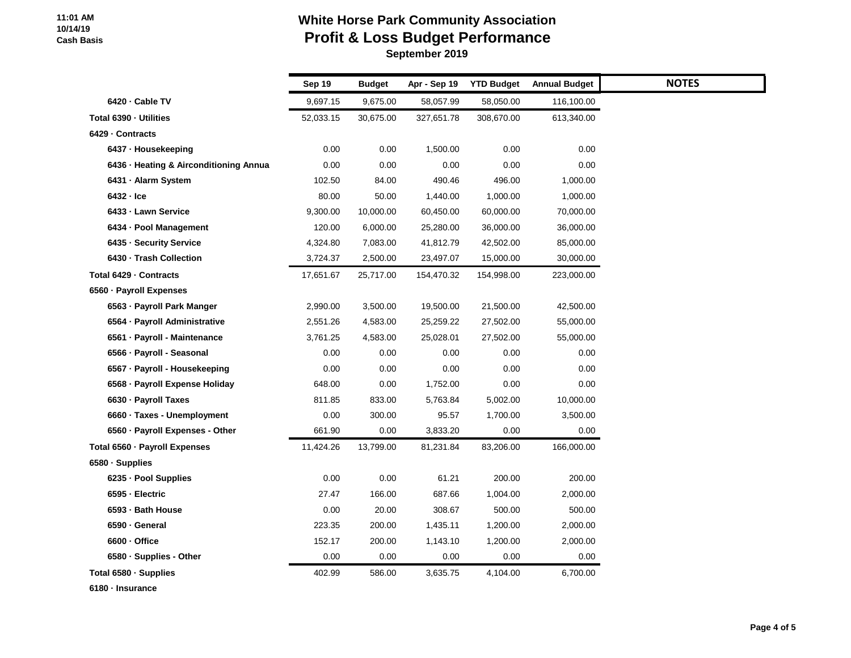# **White Horse Park Community Association Profit & Loss Budget Performance**

 **September 2019**

|                                        | Sep 19    | <b>Budget</b> | Apr - Sep 19 | <b>YTD Budget</b> | <b>Annual Budget</b> |
|----------------------------------------|-----------|---------------|--------------|-------------------|----------------------|
| 6420 · Cable TV                        | 9,697.15  | 9,675.00      | 58,057.99    | 58,050.00         | 116,100.00           |
| Total 6390 - Utilities                 | 52,033.15 | 30,675.00     | 327,651.78   | 308,670.00        | 613,340.00           |
| 6429 - Contracts                       |           |               |              |                   |                      |
| 6437 - Housekeeping                    | 0.00      | 0.00          | 1,500.00     | 0.00              | 0.00                 |
| 6436 · Heating & Airconditioning Annua | 0.00      | 0.00          | 0.00         | 0.00              | 0.00                 |
| 6431 - Alarm System                    | 102.50    | 84.00         | 490.46       | 496.00            | 1,000.00             |
| $6432 -$ Ice                           | 80.00     | 50.00         | 1,440.00     | 1,000.00          | 1,000.00             |
| 6433 - Lawn Service                    | 9,300.00  | 10,000.00     | 60,450.00    | 60,000.00         | 70,000.00            |
| 6434 - Pool Management                 | 120.00    | 6,000.00      | 25,280.00    | 36,000.00         | 36,000.00            |
| 6435 - Security Service                | 4,324.80  | 7,083.00      | 41,812.79    | 42,502.00         | 85,000.00            |
| 6430 · Trash Collection                | 3,724.37  | 2,500.00      | 23,497.07    | 15,000.00         | 30,000.00            |
| Total 6429 - Contracts                 | 17,651.67 | 25,717.00     | 154,470.32   | 154,998.00        | 223,000.00           |
| 6560 - Payroll Expenses                |           |               |              |                   |                      |
| 6563 - Payroll Park Manger             | 2,990.00  | 3,500.00      | 19,500.00    | 21,500.00         | 42,500.00            |
| 6564 - Payroll Administrative          | 2,551.26  | 4,583.00      | 25,259.22    | 27,502.00         | 55,000.00            |
| 6561 - Payroll - Maintenance           | 3,761.25  | 4,583.00      | 25,028.01    | 27,502.00         | 55,000.00            |
| 6566 - Payroll - Seasonal              | 0.00      | 0.00          | 0.00         | 0.00              | 0.00                 |
| 6567 · Payroll - Housekeeping          | 0.00      | 0.00          | 0.00         | 0.00              | 0.00                 |
| 6568 - Payroll Expense Holiday         | 648.00    | 0.00          | 1,752.00     | 0.00              | 0.00                 |
| 6630 - Payroll Taxes                   | 811.85    | 833.00        | 5,763.84     | 5,002.00          | 10,000.00            |
| 6660 · Taxes - Unemployment            | 0.00      | 300.00        | 95.57        | 1,700.00          | 3,500.00             |
| 6560 · Payroll Expenses - Other        | 661.90    | $0.00\,$      | 3,833.20     | 0.00              | 0.00                 |
| Total 6560 - Payroll Expenses          | 11,424.26 | 13,799.00     | 81,231.84    | 83,206.00         | 166,000.00           |
| 6580 · Supplies                        |           |               |              |                   |                      |
| 6235 - Pool Supplies                   | 0.00      | 0.00          | 61.21        | 200.00            | 200.00               |
| 6595 - Electric                        | 27.47     | 166.00        | 687.66       | 1,004.00          | 2,000.00             |
| 6593 - Bath House                      | 0.00      | 20.00         | 308.67       | 500.00            | 500.00               |
| 6590 · General                         | 223.35    | 200.00        | 1,435.11     | 1,200.00          | 2,000.00             |
| 6600 - Office                          | 152.17    | 200.00        | 1,143.10     | 1,200.00          | 2,000.00             |
| 6580 - Supplies - Other                | 0.00      | 0.00          | 0.00         | 0.00              | 0.00                 |
| Total 6580 · Supplies                  | 402.99    | 586.00        | 3,635.75     | 4,104.00          | 6,700.00             |

**6180 · Insurance**